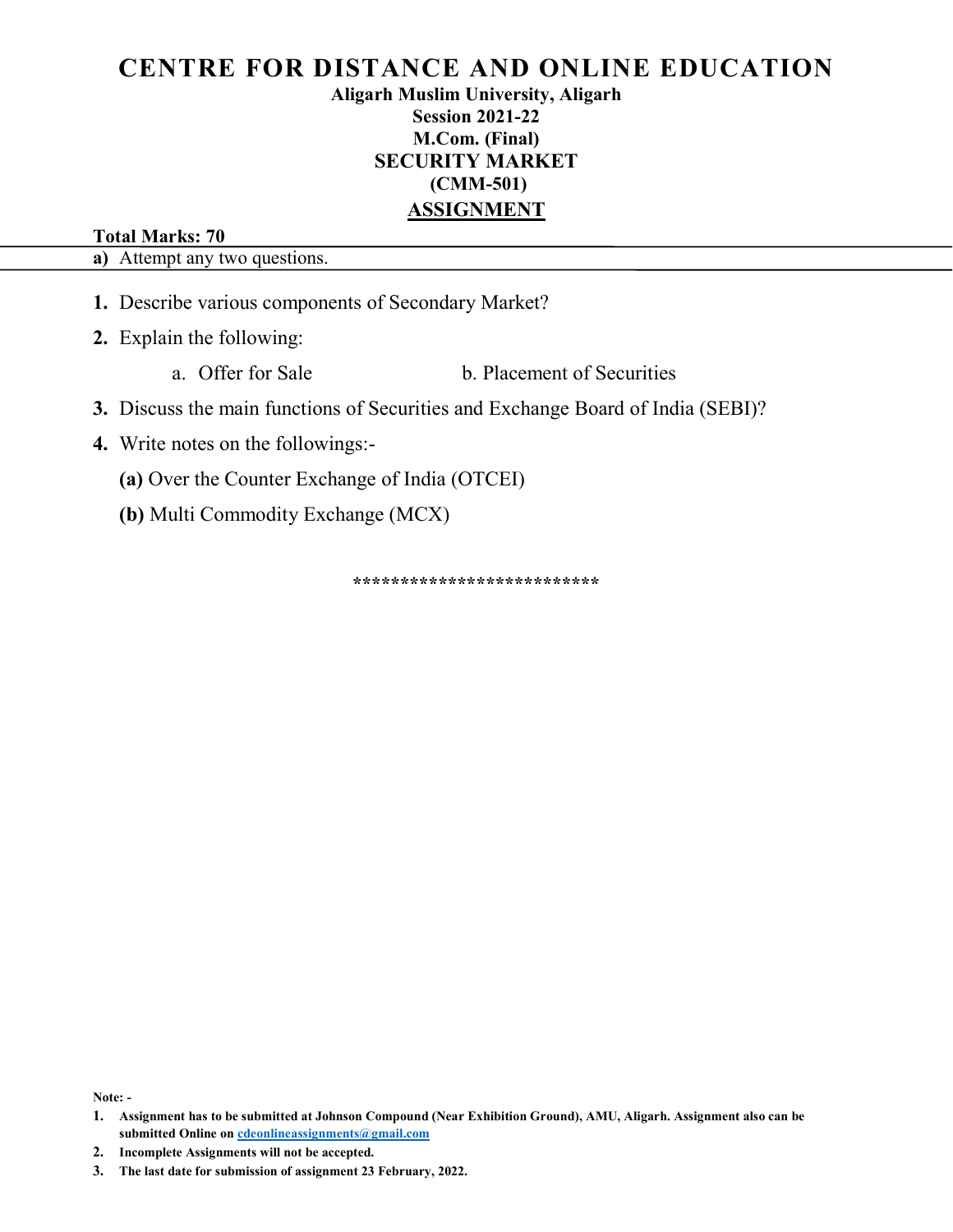Aligarh Muslim University, Aligarh Session 2021-22 M.Com. (Final) SECURITY MARKET (CMM-501) ASSIGNMENT

#### Total Marks: 70

a) Attempt any two questions.

1. Describe various components of Secondary Market?

2. Explain the following:

- a. Offer for Sale b. Placement of Securities
- 3. Discuss the main functions of Securities and Exchange Board of India (SEBI)?
- 4. Write notes on the followings:-
	- (a) Over the Counter Exchange of India (OTCEI)
	- (b) Multi Commodity Exchange (MCX)

\*\*\*\*\*\*\*\*\*\*\*\*\*\*\*\*\*\*\*\*\*\*\*\*

Note: -

<sup>1.</sup> Assignment has to be submitted at Johnson Compound (Near Exhibition Ground), AMU, Aligarh. Assignment also can be submitted Online on cdeonlineassignments@gmail.com

<sup>3.</sup> The last date for submission of assignment 23 February, 2022.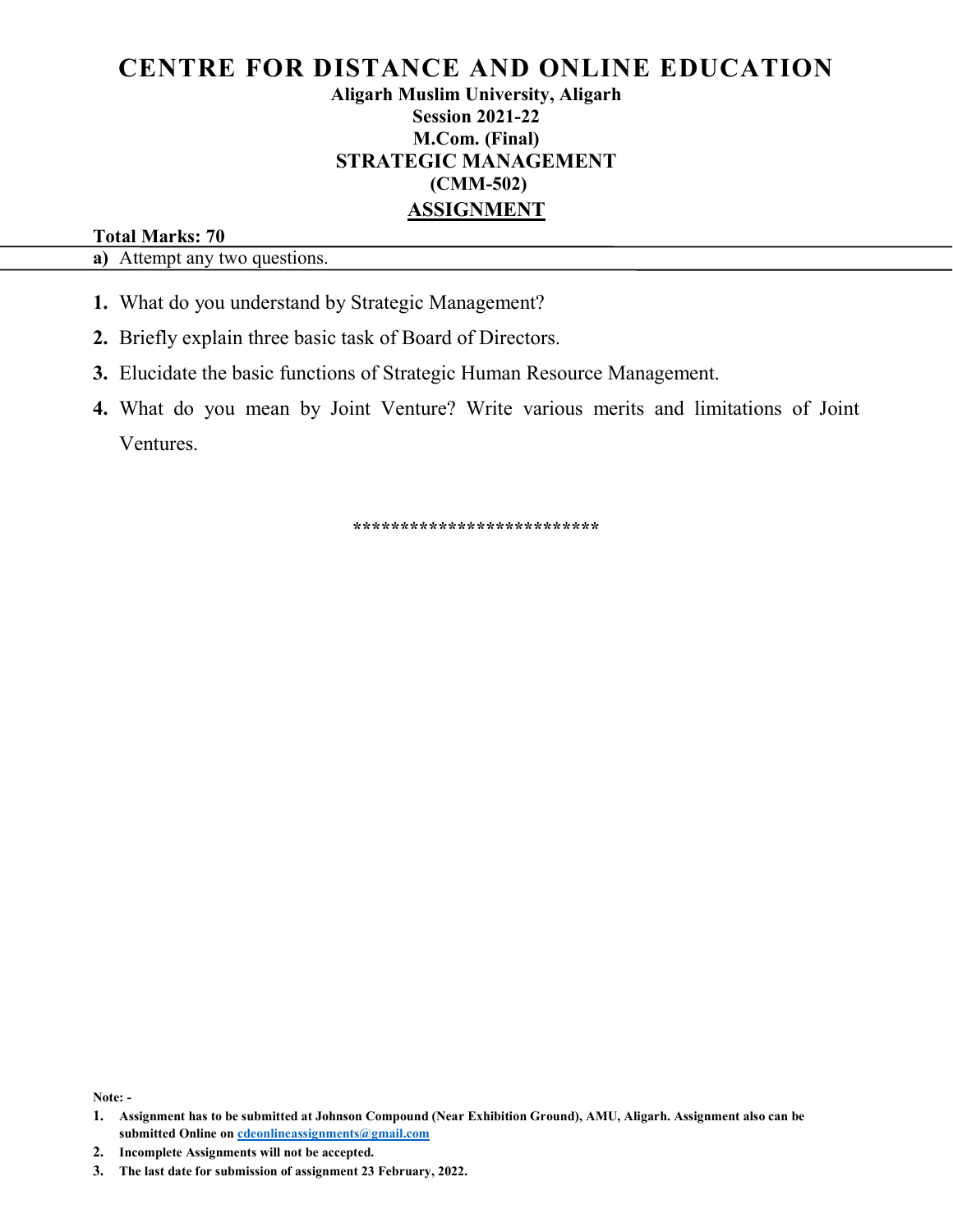### Aligarh Muslim University, Aligarh Session 2021-22 M.Com. (Final) STRATEGIC MANAGEMENT (CMM-502) ASSIGNMENT

#### Total Marks: 70

a) Attempt any two questions.

- 1. What do you understand by Strategic Management?
- 2. Briefly explain three basic task of Board of Directors.
- 3. Elucidate the basic functions of Strategic Human Resource Management.
- 4. What do you mean by Joint Venture? Write various merits and limitations of Joint Ventures.

\*\*\*\*\*\*\*\*\*\*\*\*\*\*\*\*\*\*\*\*\*\*\*\*\*\*

Note: -

<sup>1.</sup> Assignment has to be submitted at Johnson Compound (Near Exhibition Ground), AMU, Aligarh. Assignment also can be submitted Online on cdeonlineassignments@gmail.com

<sup>3.</sup> The last date for submission of assignment 23 February, 2022.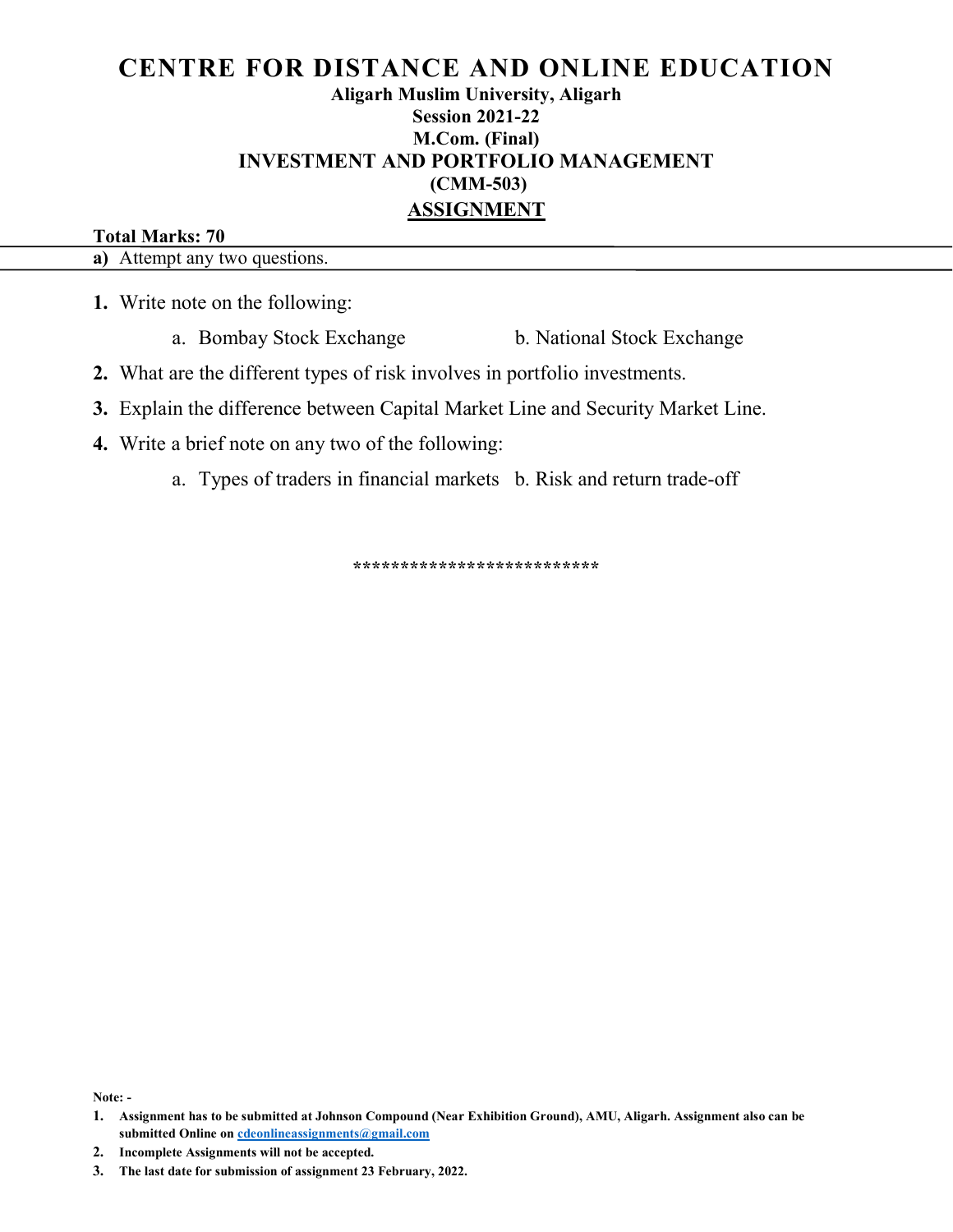### Aligarh Muslim University, Aligarh Session 2021-22 M.Com. (Final) INVESTMENT AND PORTFOLIO MANAGEMENT (CMM-503) ASSIGNMENT

#### Total Marks: 70

a) Attempt any two questions.

1. Write note on the following:

a. Bombay Stock Exchange b. National Stock Exchange

- 2. What are the different types of risk involves in portfolio investments.
- 3. Explain the difference between Capital Market Line and Security Market Line.
- 4. Write a brief note on any two of the following:
	- a. Types of traders in financial markets b. Risk and return trade-off

\*\*\*\*\*\*\*\*\*\*\*\*\*\*\*\*\*\*\*\*\*\*\*\*\*\*\*\*\*\*\*\*\*\*

Note: -

<sup>1.</sup> Assignment has to be submitted at Johnson Compound (Near Exhibition Ground), AMU, Aligarh. Assignment also can be submitted Online on cdeonlineassignments@gmail.com

<sup>3.</sup> The last date for submission of assignment 23 February, 2022.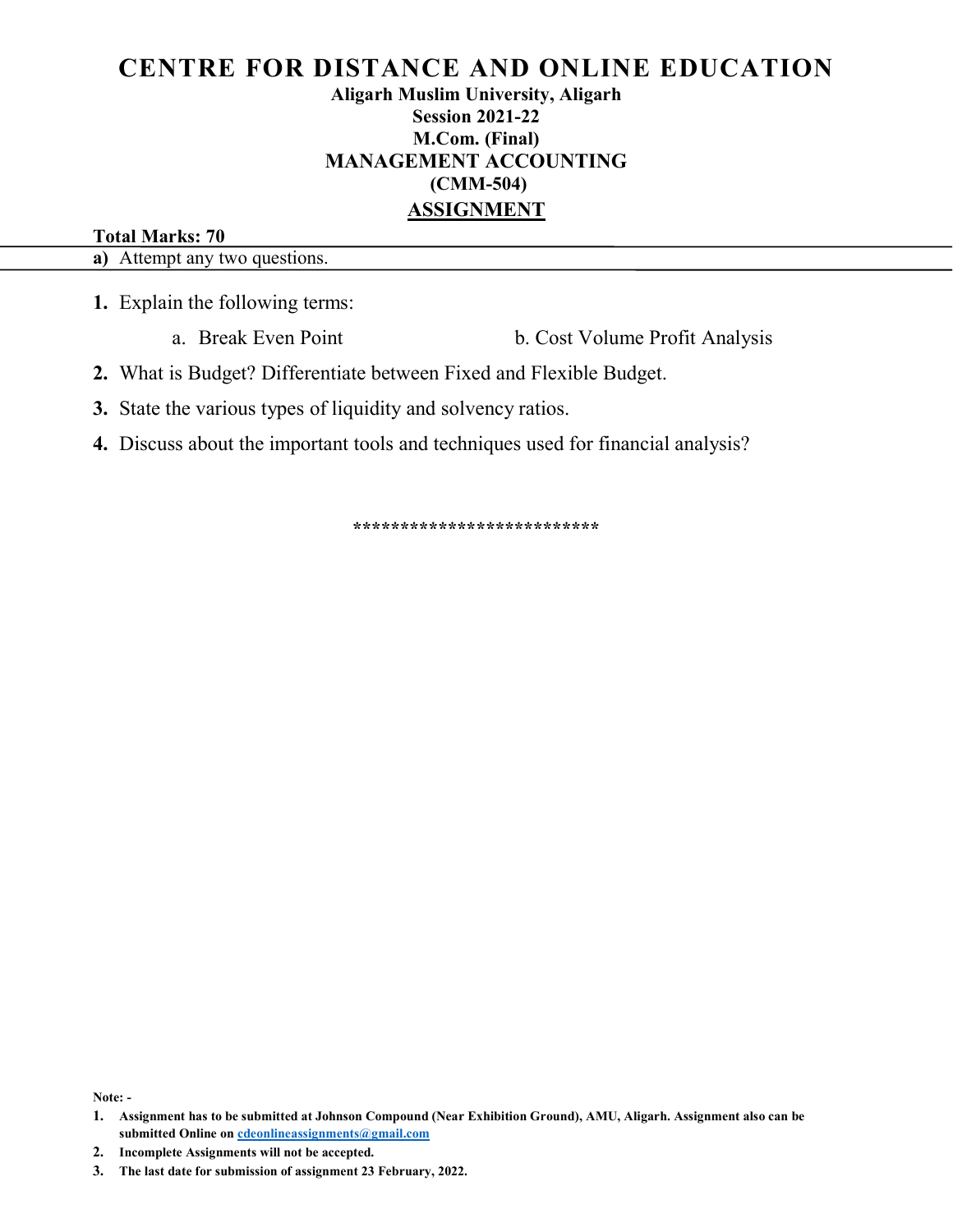### Aligarh Muslim University, Aligarh Session 2021-22 M.Com. (Final) MANAGEMENT ACCOUNTING (CMM-504) ASSIGNMENT

### Total Marks: 70

a) Attempt any two questions.

1. Explain the following terms:

a. Break Even Point b. Cost Volume Profit Analysis

2. What is Budget? Differentiate between Fixed and Flexible Budget.

3. State the various types of liquidity and solvency ratios.

4. Discuss about the important tools and techniques used for financial analysis?

\*\*\*\*\*\*\*\*\*\*\*\*\*\*\*\*\*\*\*\*\*\*\*\*\*\*

Note: -

<sup>1.</sup> Assignment has to be submitted at Johnson Compound (Near Exhibition Ground), AMU, Aligarh. Assignment also can be submitted Online on cdeonlineassignments@gmail.com

<sup>3.</sup> The last date for submission of assignment 23 February, 2022.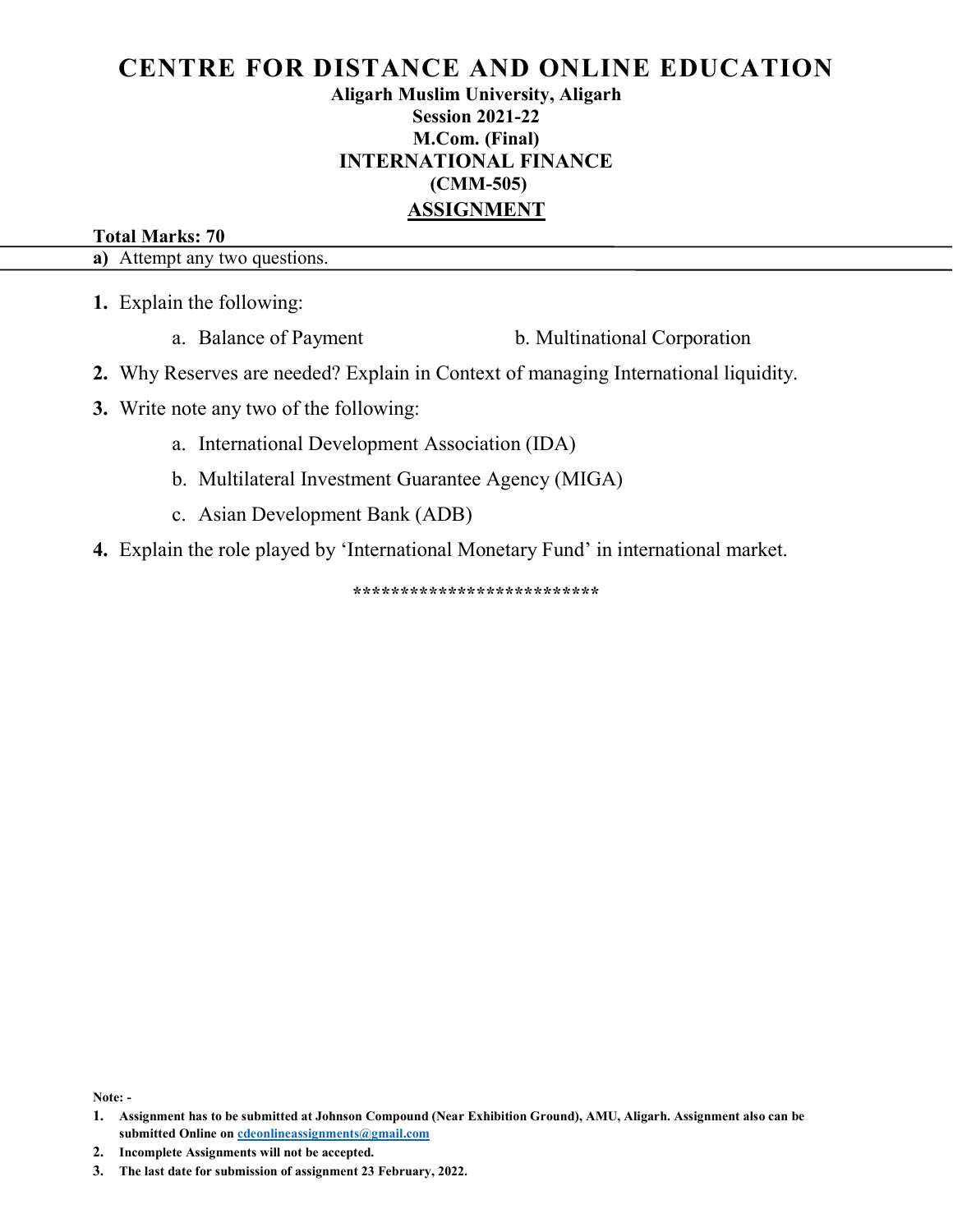Aligarh Muslim University, Aligarh Session 2021-22 M.Com. (Final) INTERNATIONAL FINANCE (CMM-505) ASSIGNMENT

#### Total Marks: 70

a) Attempt any two questions.

- 1. Explain the following:
	- a. Balance of Payment b. Multinational Corporation
- 2. Why Reserves are needed? Explain in Context of managing International liquidity.
- 3. Write note any two of the following:
	- a. International Development Association (IDA)
	- b. Multilateral Investment Guarantee Agency (MIGA)
	- c. Asian Development Bank (ADB)
- 4. Explain the role played by 'International Monetary Fund' in international market.

\*\*\*\*\*\*\*\*\*\*\*\*\*\*\*\*\*\*\*\*\*\*\*\*\*\*

Note: -

<sup>1.</sup> Assignment has to be submitted at Johnson Compound (Near Exhibition Ground), AMU, Aligarh. Assignment also can be submitted Online on cdeonlineassignments@gmail.com

<sup>2.</sup> Incomplete Assignments will not be accepted.

<sup>3.</sup> The last date for submission of assignment 23 February, 2022.